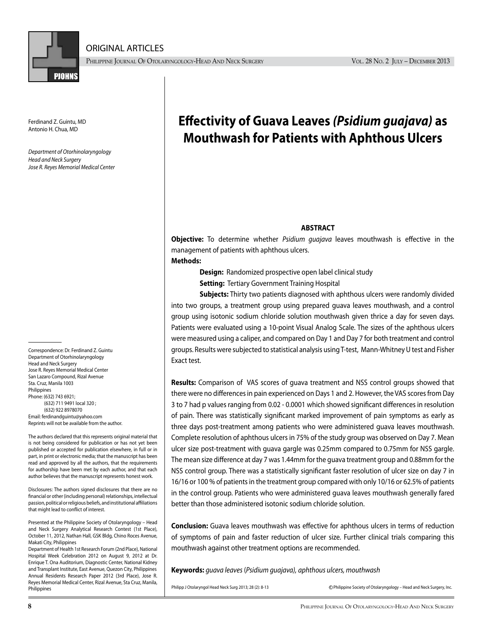

ORIGINAL ARTICLES

PHILIPPINE JOURNAL OF OTOLARYNGOLOGY-HEAD AND NECK SURGERY VOL. 28 No. 2 JULY – DECEMBER 2013

Ferdinand Z. Guintu, MD Antonio H. Chua, MD

*Department of Otorhinolaryngology Head and Neck Surgery Jose R. Reyes Memorial Medical Center*

Correspondence: Dr. Ferdinand Z. Guintu Department of Otorhinolaryngology Head and Neck Surgery Jose R. Reyes Memorial Medical Center San Lazaro Compound, Rizal Avenue Sta. Cruz, Manila 1003 Philippines Phone: (632) 743 6921; (632) 711 9491 local 320 ; (632) 922 8978070 Email: ferdinandguintu@yahoo.com Reprints will not be available from the author.

The authors declared that this represents original material that is not being considered for publication or has not yet been published or accepted for publication elsewhere, in full or in part, in print or electronic media; that the manuscript has been read and approved by all the authors, that the requirements for authorship have been met by each author, and that each author believes that the manuscript represents honest work.

Disclosures: The authors signed disclosures that there are no financial or other (including personal) relationships, intellectual passion, political or religious beliefs, and institutional affiliations that might lead to conflict of interest.

Presented at the Philippine Society of Otolaryngology – Head and Neck Surgery Analytical Research Contest (1st Place), October 11, 2012, Nathan Hall, GSK Bldg, Chino Roces Avenue, Makati City, Philippines

Department of Health 1st Research Forum (2nd Place), National Hospital Week Celebration 2012 on August 9, 2012 at Dr. Enrique T. Ona Auditorium, Diagnostic Center, National Kidney and Transplant Institute, East Avenue, Quezon City, Philippines Annual Residents Research Paper 2012 (3rd Place), Jose R. Reyes Memorial Medical Center, Rizal Avenue, Sta Cruz, Manila, Philippines Society of Otolaryngology – Head and Neck Surgery, Inc. Philipp J Otolaryngol Head Neck Surg 2013; 28 (2): 8-13 c Philippine Society of Otolaryngology – Head and Neck Surgery, Inc.

# **Effectivity of Guava Leaves** *(Psidium guajava)* **as Mouthwash for Patients with Aphthous Ulcers**

# **ABSTRACT**

**Objective:** To determine whether *Psidium guajava* leaves mouthwash is effective in the management of patients with aphthous ulcers.

### **Methods:**

**Design:** Randomized prospective open label clinical study

**Setting:** Tertiary Government Training Hospital

**Subjects:** Thirty two patients diagnosed with aphthous ulcers were randomly divided into two groups, a treatment group using prepared guava leaves mouthwash, and a control group using isotonic sodium chloride solution mouthwash given thrice a day for seven days. Patients were evaluated using a 10-point Visual Analog Scale. The sizes of the aphthous ulcers were measured using a caliper, and compared on Day 1 and Day 7 for both treatment and control groups. Results were subjected to statistical analysis using T-test, Mann-Whitney U test and Fisher Exact test.

**Results:** Comparison of VAS scores of guava treatment and NSS control groups showed that there were no differences in pain experienced on Days 1 and 2. However, the VAS scores from Day 3 to 7 had p values ranging from 0.02 - 0.0001 which showed significant differences in resolution of pain. There was statistically significant marked improvement of pain symptoms as early as three days post-treatment among patients who were administered guava leaves mouthwash. Complete resolution of aphthous ulcers in 75% of the study group was observed on Day 7. Mean ulcer size post-treatment with guava gargle was 0.25mm compared to 0.75mm for NSS gargle. The mean size difference at day 7 was 1.44mm for the guava treatment group and 0.88mm for the NSS control group. There was a statistically significant faster resolution of ulcer size on day 7 in 16/16 or 100 % of patients in the treatment group compared with only 10/16 or 62.5% of patients in the control group. Patients who were administered guava leaves mouthwash generally fared better than those administered isotonic sodium chloride solution.

**Conclusion:** Guava leaves mouthwash was effective for aphthous ulcers in terms of reduction of symptoms of pain and faster reduction of ulcer size. Further clinical trials comparing this mouthwash against other treatment options are recommended.

**Keywords:** *guava leaves* (*Psidium guajava), aphthous ulcers, mouthwash*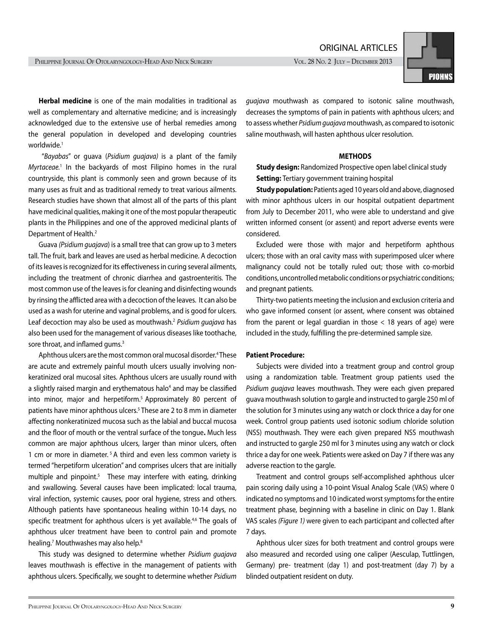ORIGINAL ARTICLES



**Herbal medicine** is one of the main modalities in traditional as well as complementary and alternative medicine; and is increasingly acknowledged due to the extensive use of herbal remedies among the general population in developed and developing countries worldwide.<sup>1</sup>

 "*Bayabas*" or guava (*Psidium guajava)* is a plant of the family *Myrtaceae.*<sup>1</sup> In the backyards of most Filipino homes in the rural countryside, this plant is commonly seen and grown because of its many uses as fruit and as traditional remedy to treat various ailments. Research studies have shown that almost all of the parts of this plant have medicinal qualities, making it one of the most popular therapeutic plants in the Philippines and one of the approved medicinal plants of Department of Health.2

Guava *(Psidium guajava*) is a small tree that can grow up to 3 meters tall. The fruit, bark and leaves are used as herbal medicine. A decoction of its leaves is recognized for its effectiveness in curing several ailments, including the treatment of chronic diarrhea and gastroenteritis. The most common use of the leaves is for cleaning and disinfecting wounds by rinsing the afflicted area with a decoction of the leaves. It can also be used as a wash for uterine and vaginal problems, and is good for ulcers. Leaf decoction may also be used as mouthwash.2 *Psidium guajava* has also been used for the management of various diseases like toothache, sore throat, and inflamed gums.<sup>3</sup>

Aphthous ulcers are the most common oral mucosal disorder.<sup>4</sup>These are acute and extremely painful mouth ulcers usually involving nonkeratinized oral mucosal sites. Aphthous ulcers are usually round with a slightly raised margin and erythematous halo<sup>4</sup> and may be classified into minor, major and herpetiform.<sup>5</sup> Approximately 80 percent of patients have minor aphthous ulcers.<sup>5</sup> These are 2 to 8 mm in diameter affecting nonkeratinized mucosa such as the labial and buccal mucosa and the floor of mouth or the ventral surface of the tongue**.** Much less common are major aphthous ulcers, larger than minor ulcers, often 1 cm or more in diameter. 5 A third and even less common variety is termed "herpetiform ulceration" and comprises ulcers that are initially multiple and pinpoint.<sup>5</sup> These may interfere with eating, drinking and swallowing. Several causes have been implicated: local trauma, viral infection, systemic causes, poor oral hygiene, stress and others. Although patients have spontaneous healing within 10-14 days, no specific treatment for aphthous ulcers is yet available.<sup>4,6</sup> The goals of aphthous ulcer treatment have been to control pain and promote healing.<sup>7</sup> Mouthwashes may also help.<sup>8</sup>

This study was designed to determine whether *Psidium guajava*  leaves mouthwash is effective in the management of patients with aphthous ulcers. Specifically, we sought to determine whether *Psidium* 

*guajava* mouthwash as compared to isotonic saline mouthwash, decreases the symptoms of pain in patients with aphthous ulcers; and to assess whether *Psidium guajava* mouthwash, as compared to isotonic saline mouthwash, will hasten aphthous ulcer resolution.

#### **METHODS**

**Study design:** Randomized Prospective open label clinical study **Setting:** Tertiary government training hospital

**Study population:** Patients aged 10 years old and above, diagnosed with minor aphthous ulcers in our hospital outpatient department from July to December 2011, who were able to understand and give written informed consent (or assent) and report adverse events were considered.

Excluded were those with major and herpetiform aphthous ulcers; those with an oral cavity mass with superimposed ulcer where malignancy could not be totally ruled out; those with co-morbid conditions, uncontrolled metabolic conditions or psychiatric conditions; and pregnant patients.

Thirty-two patients meeting the inclusion and exclusion criteria and who gave informed consent (or assent, where consent was obtained from the parent or legal guardian in those  $<$  18 years of age) were included in the study, fulfilling the pre-determined sample size.

### **Patient Procedure:**

Subjects were divided into a treatment group and control group using a randomization table. Treatment group patients used the *Psidium guajava* leaves mouthwash. They were each given prepared guava mouthwash solution to gargle and instructed to gargle 250 ml of the solution for 3 minutes using any watch or clock thrice a day for one week. Control group patients used isotonic sodium chloride solution (NSS) mouthwash. They were each given prepared NSS mouthwash and instructed to gargle 250 ml for 3 minutes using any watch or clock thrice a day for one week. Patients were asked on Day 7 if there was any adverse reaction to the gargle.

Treatment and control groups self-accomplished aphthous ulcer pain scoring daily using a 10-point Visual Analog Scale (VAS) where 0 indicated no symptoms and 10 indicated worst symptoms for the entire treatment phase, beginning with a baseline in clinic on Day 1. Blank VAS scales *(Figure 1)* were given to each participant and collected after 7 days.

Aphthous ulcer sizes for both treatment and control groups were also measured and recorded using one caliper (Aesculap, Tuttlingen, Germany) pre- treatment (day 1) and post-treatment (day 7) by a blinded outpatient resident on duty.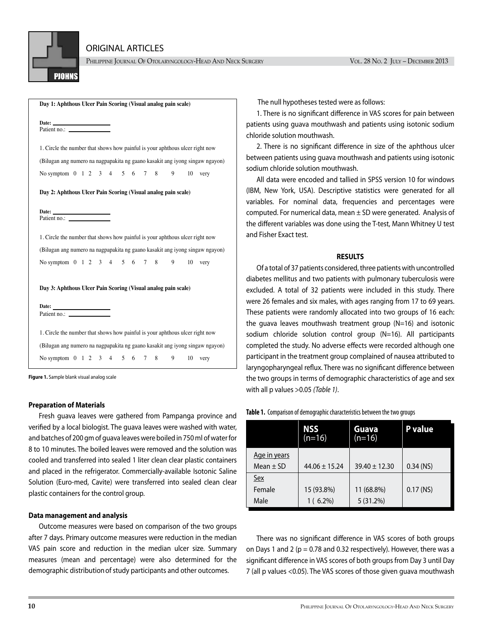

ORIGINAL ARTICLES

PHILIPPINE JOURNAL OF OTOLARYNGOLOGY-HEAD AND NECK SURGERY VOL. 28 No. 2 JULY – DECEMBER 2013

|                       |                              |  |  |  |  | Day 1: Aphthous Ulcer Pain Scoring (Visual analog pain scale) |    |                                                                              |
|-----------------------|------------------------------|--|--|--|--|---------------------------------------------------------------|----|------------------------------------------------------------------------------|
| Date: $\qquad \qquad$ |                              |  |  |  |  |                                                               |    |                                                                              |
|                       |                              |  |  |  |  |                                                               |    | 1. Circle the number that shows how painful is your aphthous ulcer right now |
|                       |                              |  |  |  |  |                                                               |    | (Bilugan ang numero na nagpapakita ng gaano kasakit ang iyong singaw ngayon) |
|                       | No symptom 0 1 2 3 4 5 6 7 8 |  |  |  |  | 9                                                             | 10 | very                                                                         |
|                       |                              |  |  |  |  | Day 2: Aphthous Ulcer Pain Scoring (Visual analog pain scale) |    |                                                                              |
|                       |                              |  |  |  |  |                                                               |    |                                                                              |
|                       |                              |  |  |  |  |                                                               |    | 1. Circle the number that shows how painful is your aphthous ulcer right now |
|                       |                              |  |  |  |  |                                                               |    | (Bilugan ang numero na nagpapakita ng gaano kasakit ang iyong singaw ngayon) |
|                       |                              |  |  |  |  | No symptom 0 1 2 3 4 5 6 7 8 9 10 very                        |    |                                                                              |
|                       |                              |  |  |  |  | Day 3: Aphthous Ulcer Pain Scoring (Visual analog pain scale) |    |                                                                              |
| Date: $\qquad \qquad$ |                              |  |  |  |  |                                                               |    |                                                                              |
|                       |                              |  |  |  |  |                                                               |    |                                                                              |
|                       |                              |  |  |  |  |                                                               |    | 1. Circle the number that shows how painful is your aphthous ulcer right now |
|                       |                              |  |  |  |  |                                                               |    | (Bilugan ang numero na nagpapakita ng gaano kasakit ang iyong singaw ngayon) |
|                       | No symptom 0 1 2 3 4 5 6 7 8 |  |  |  |  | 9                                                             | 10 | very                                                                         |

**Figure 1.** Sample blank visual analog scale

#### **Preparation of Materials**

Fresh guava leaves were gathered from Pampanga province and verified by a local biologist. The guava leaves were washed with water, and batches of 200 gm of guava leaves were boiled in 750 ml of water for 8 to 10 minutes. The boiled leaves were removed and the solution was cooled and transferred into sealed 1 liter clean clear plastic containers and placed in the refrigerator. Commercially-available Isotonic Saline Solution (Euro-med, Cavite) were transferred into sealed clean clear plastic containers for the control group.

#### **Data management and analysis**

Outcome measures were based on comparison of the two groups after 7 days. Primary outcome measures were reduction in the median VAS pain score and reduction in the median ulcer size. Summary measures (mean and percentage) were also determined for the demographic distributionof study participants and other outcomes.

The null hypotheses tested were as follows:

1. There is no significant difference in VAS scores for pain between patients using guava mouthwash and patients using isotonic sodium chloride solution mouthwash.

2. There is no significant difference in size of the aphthous ulcer between patients using guava mouthwash and patients using isotonic sodium chloride solution mouthwash.

All data were encoded and tallied in SPSS version 10 for windows (IBM, New York, USA). Descriptive statistics were generated for all variables. For nominal data, frequencies and percentages were computed. For numerical data, mean  $\pm$  SD were generated. Analysis of the different variables was done using the T-test, Mann Whitney U test and Fisher Exact test.

#### **RESULTS**

Of a total of 37 patients considered, three patients with uncontrolled diabetes mellitus and two patients with pulmonary tuberculosis were excluded. A total of 32 patients were included in this study. There were 26 females and six males, with ages ranging from 17 to 69 years. These patients were randomly allocated into two groups of 16 each: the guava leaves mouthwash treatment group (N=16) and isotonic sodium chloride solution control group (N=16). All participants completed the study. No adverse effects were recorded although one participant in the treatment group complained of nausea attributed to laryngopharyngeal reflux. There was no significant difference between the two groups in terms of demographic characteristics of age and sex with all p values >0.05 *(Table 1)*.

|                     | <b>NSS</b><br>$(n=16)$ | Guava<br>$(n=16)$ | <b>P</b> value |
|---------------------|------------------------|-------------------|----------------|
| <u>Age in years</u> |                        |                   |                |
| Mean $\pm$ SD       | $44.06 \pm 15.24$      | $39.40 \pm 12.30$ | $0.34$ (NS)    |
| Sex                 |                        |                   |                |
| Female              | 15 (93.8%)             | 11 (68.8%)        | $0.17$ (NS)    |
| Male                | $1(6.2\%)$             | 5(31.2%)          |                |

**Table 1.** Comparison of demographic characteristics between the two groups

There was no significant difference in VAS scores of both groups on Days 1 and 2 ( $p = 0.78$  and 0.32 respectively). However, there was a significant difference in VAS scores of both groups from Day 3 until Day 7 (all p values <0.05). The VAS scores of those given guava mouthwash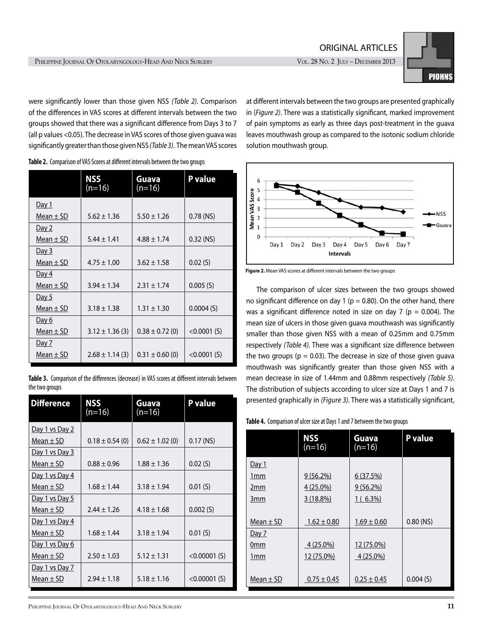

were significantly lower than those given NSS *(Table 2)*. Comparison of the differences in VAS scores at different intervals between the two groups showed that there was a significant difference from Days 3 to 7 (all p values <0.05). The decrease in VAS scores of those given guava was significantly greater than those given NSS *(Table 3)*. The mean VAS scores

|               | NSS<br>$(n=16)$     | Guava<br>$(n=16)$   | <b>P</b> value |
|---------------|---------------------|---------------------|----------------|
| <u>Day 1</u>  |                     |                     |                |
| Mean $\pm$ SD | $5.62 \pm 1.36$     | $5.50 \pm 1.26$     | $0.78$ (NS)    |
| <u>Day 2</u>  |                     |                     |                |
| Mean $\pm$ SD | $5.44 \pm 1.41$     | $4.88 \pm 1.74$     | $0.32$ (NS)    |
| <u>Day 3</u>  |                     |                     |                |
| Mean $\pm$ SD | $4.75 \pm 1.00$     | $3.62 \pm 1.58$     | 0.02(S)        |
| <u>Day 4</u>  |                     |                     |                |
| Mean $\pm$ SD | $3.94 \pm 1.34$     | $2.31 \pm 1.74$     | 0.005(S)       |
| Day 5         |                     |                     |                |
| Mean $\pm$ SD | $3.18 \pm 1.38$     | $1.31 \pm 1.30$     | 0.0004(S)      |
| <u>Day 6</u>  |                     |                     |                |
| Mean $\pm$ SD | $3.12 \pm 1.36$ (3) | $0.38 \pm 0.72$ (0) | $< 0.0001$ (S) |
| <u>Day 7</u>  |                     |                     |                |
| Mean $\pm$ SD | $2.68 \pm 1.14$ (3) | $0.31 \pm 0.60$ (0) | $< 0.0001$ (S) |

**Table 2.** Comparison of VAS Scores at different intervals between the two groups

|                | <b>Table 3.</b> Comparison of the differences (decrease) in VAS scores at different intervals between |  |
|----------------|-------------------------------------------------------------------------------------------------------|--|
| the two groups |                                                                                                       |  |

| <b>Difference</b>     | NSS<br>$(n=16)$     | Guava<br>(n=16)     | P value         |  |
|-----------------------|---------------------|---------------------|-----------------|--|
| Day 1 vs Day 2        |                     |                     |                 |  |
| Mean $\pm$ SD         | $0.18 \pm 0.54$ (0) | $0.62 \pm 1.02$ (0) | $0.17$ (NS)     |  |
| Day 1 vs Day 3        |                     |                     |                 |  |
| Mean $\pm$ SD         | $0.88 \pm 0.96$     | $1.88 \pm 1.36$     | 0.02(S)         |  |
| Day 1 vs Day 4        |                     |                     |                 |  |
| Mean $\pm$ SD         | $1.68 \pm 1.44$     | $3.18 \pm 1.94$     | 0.01(S)         |  |
| Day 1 vs Day 5        |                     |                     |                 |  |
| Mean $\pm$ SD         | $2.44 \pm 1.26$     | $4.18 \pm 1.68$     | 0.002(S)        |  |
| <u>Day 1 vs Day 4</u> |                     |                     |                 |  |
| Mean $\pm$ SD         | $1.68 \pm 1.44$     | $3.18 \pm 1.94$     | 0.01(S)         |  |
| Day 1 vs Day 6        |                     |                     |                 |  |
| Mean $\pm$ SD         | $2.50 \pm 1.03$     | $5.12 \pm 1.31$     | $< 0.00001$ (S) |  |
| Day 1 vs Day 7        |                     |                     |                 |  |
| Mean $\pm$ SD         | $2.94 \pm 1.18$     | $5.18 \pm 1.16$     | $< 0.00001$ (S) |  |

at different intervals between the two groups are presented graphically in (*Figure 2)*. There was a statistically significant, marked improvement of pain symptoms as early as three days post-treatment in the guava leaves mouthwash group as compared to the isotonic sodium chloride solution mouthwash group.



**Figure 2.** Mean VAS scores at different intervals between the two groups

The comparison of ulcer sizes between the two groups showed no significant difference on day 1 ( $p = 0.80$ ). On the other hand, there was a significant difference noted in size on day 7 ( $p = 0.004$ ). The mean size of ulcers in those given guava mouthwash was significantly smaller than those given NSS with a mean of 0.25mm and 0.75mm respectively *(Table 4)*. There was a significant size difference between the two groups ( $p = 0.03$ ). The decrease in size of those given guava mouthwash was significantly greater than those given NSS with a mean decrease in size of 1.44mm and 0.88mm respectively *(Table 5)*. The distribution of subjects according to ulcer size at Days 1 and 7 is presented graphically in *(Figure 3)*. There was a statistically significant,

| Table 4. Comparison of ulcer size at Days 1 and 7 between the two groups |  |  |
|--------------------------------------------------------------------------|--|--|
|--------------------------------------------------------------------------|--|--|

|                 | <b>NSS</b><br>$(n=16)$ | Guava<br>$(n=16)$ | <b>P</b> value |
|-----------------|------------------------|-------------------|----------------|
| Day 1           |                        |                   |                |
| 1 <sub>mm</sub> | $9(56.2\%)$            | 6(37.5%)          |                |
| 2mm             | 4 (25.0%)              | $9(56.2\%)$       |                |
| 3mm             | 3(18.8%)               | $1(6.3\%)$        |                |
|                 |                        |                   |                |
| Mean $\pm$ SD   | $1.62 \pm 0.80$        | $1.69 \pm 0.60$   | $0.80$ (NS)    |
| <u>Day 7</u>    |                        |                   |                |
| 0mm             | $4(25.0\%)$            | 12 (75.0%)        |                |
| 1mm             | 12 (75.0%)             | $4(25.0\%)$       |                |
|                 |                        |                   |                |
| Mean $\pm$ SD   | $0.75 \pm 0.45$        | $0.25 \pm 0.45$   | 0.004(S)       |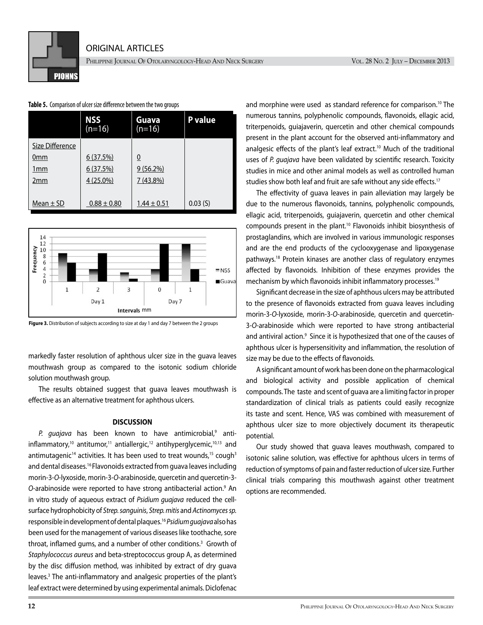PHILIPPINE JOURNAL OF OTOLARYNGOLOGY-HEAD AND NECK SURGERY VOL. 28 No. 2 JULY – DECEMBER 2013

## **Table 5.** Comparison of ulcer size difference between the two groups

**PIOHNS** 

|                 | <b>NSS</b><br>$(n=16)$ | Guava<br>$(n=16)$ | <b>P</b> value |
|-----------------|------------------------|-------------------|----------------|
| Size Difference |                        |                   |                |
| 0mm             | 6(37.5%)               | $\overline{0}$    |                |
| 1mm             | 6(37.5%)               | $9(56.2\%)$       |                |
| 2mm             | $4(25.0\%)$            | $7(43.8\%)$       |                |
|                 |                        |                   |                |
| Mean $\pm$ SD   | $0.88 \pm 0.80$        | $1.44 \pm 0.51$   | 0.03(S)        |



**Figure 3.** Distribution of subjects according to size at day 1 and day 7 between the 2 groups

markedly faster resolution of aphthous ulcer size in the guava leaves mouthwash group as compared to the isotonic sodium chloride solution mouthwash group.

The results obtained suggest that guava leaves mouthwash is effective as an alternative treatment for aphthous ulcers.

### **DISCUSSION**

*P. guajava* has been known to have antimicrobial,<sup>9</sup> antiinflammatory,<sup>10</sup> antitumor,<sup>11</sup> antiallergic,<sup>12</sup> antihyperglycemic,<sup>10,13</sup> and antimutagenic<sup>14</sup> activities. It has been used to treat wounds,<sup>15</sup> cough<sup>3</sup> and dental diseases.16 Flavonoids extracted from guava leaves including morin-3-*O*-lyxoside, morin-3-*O*-arabinoside, quercetin and quercetin-3- O-arabinoside were reported to have strong antibacterial action.<sup>9</sup> An in vitro study of aqueous extract of *Psidium guajava* reduced the cellsurface hydrophobicity of *Strep. sanguinis*, *Strep. mitis* and *Actinomycessp.* responsible in development of dental plaques.16 *Psidium guajava* also has been used for the management of various diseases like toothache, sore throat, inflamed gums, and a number of other conditions.<sup>3</sup> Growth of *Staphylococcus aureus* and beta-streptococcus group A, as determined by the disc diffusion method, was inhibited by extract of dry guava leaves.<sup>3</sup> The anti-inflammatory and analgesic properties of the plant's leaf extract were determined by using experimental animals. Diclofenac

and morphine were used as standard reference for comparison.<sup>10</sup> The numerous tannins, polyphenolic compounds, flavonoids, ellagic acid, triterpenoids, guiajaverin, quercetin and other chemical compounds present in the plant account for the observed anti-inflammatory and analgesic effects of the plant's leaf extract.<sup>10</sup> Much of the traditional uses of *P. guajava* have been validated by scientific research. Toxicity studies in mice and other animal models as well as controlled human studies show both leaf and fruit are safe without any side effects.<sup>17</sup>

The effectivity of guava leaves in pain alleviation may largely be due to the numerous flavonoids, tannins, polyphenolic compounds, ellagic acid, triterpenoids, guiajaverin, quercetin and other chemical compounds present in the plant.10 Flavonoids inhibit biosynthesis of prostaglandins, which are involved in various immunologic responses and are the end products of the cyclooxygenase and lipoxygenase pathways.18 Protein kinases are another class of regulatory enzymes affected by flavonoids. Inhibition of these enzymes provides the mechanism by which flavonoids inhibit inflammatory processes.<sup>19</sup>

Significant decrease in the size of aphthous ulcers may be attributed to the presence of flavonoids extracted from guava leaves including morin-3-*O*-lyxoside, morin-3-*O*-arabinoside, quercetin and quercetin-3-*O*-arabinoside which were reported to have strong antibacterial and antiviral action.<sup>9</sup> Since it is hypothesized that one of the causes of aphthous ulcer is hypersensitivity and inflammation, the resolution of size may be due to the effects of flavonoids.

A significant amount of work has been done on the pharmacological and biological activity and possible application of chemical compounds. The taste and scent of guava are a limiting factor in proper standardization of clinical trials as patients could easily recognize its taste and scent. Hence, VAS was combined with measurement of aphthous ulcer size to more objectively document its therapeutic potential.

Our study showed that guava leaves mouthwash, compared to isotonic saline solution, was effective for aphthous ulcers in terms of reduction of symptoms of pain and faster reduction of ulcer size. Further clinical trials comparing this mouthwash against other treatment options are recommended.